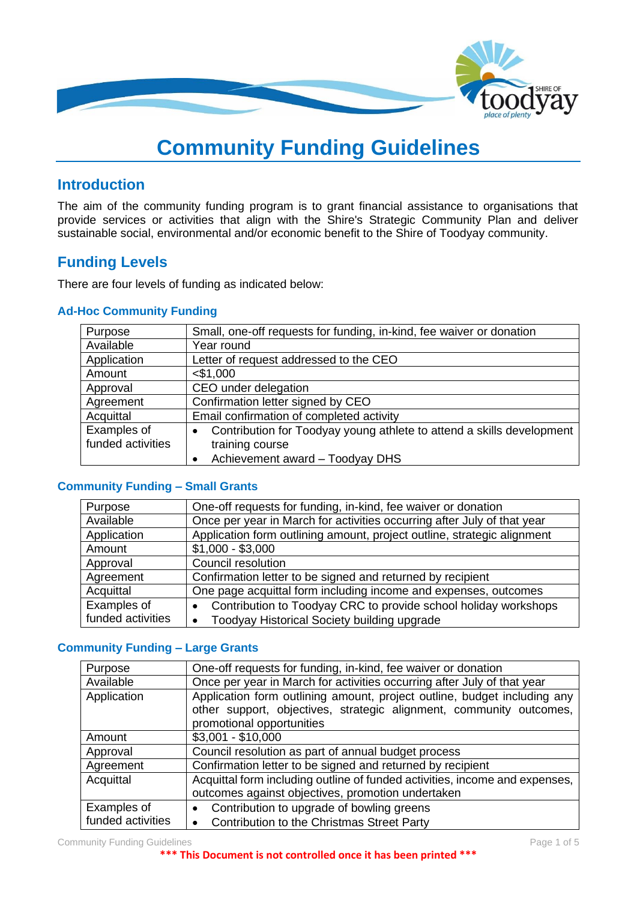

# **Community Funding Guidelines**

### **Introduction**

The aim of the community funding program is to grant financial assistance to organisations that provide services or activities that align with the Shire's Strategic Community Plan and deliver sustainable social, environmental and/or economic benefit to the Shire of Toodyay community.

## **Funding Levels**

There are four levels of funding as indicated below:

#### **Ad-Hoc Community Funding**

| Purpose           | Small, one-off requests for funding, in-kind, fee waiver or donation  |
|-------------------|-----------------------------------------------------------------------|
| Available         | Year round                                                            |
| Application       | Letter of request addressed to the CEO                                |
| Amount            | $<$ \$1,000                                                           |
| Approval          | CEO under delegation                                                  |
| Agreement         | Confirmation letter signed by CEO                                     |
| Acquittal         | Email confirmation of completed activity                              |
| Examples of       | Contribution for Toodyay young athlete to attend a skills development |
| funded activities | training course                                                       |
|                   | Achievement award - Toodyay DHS                                       |

#### **Community Funding – Small Grants**

| Purpose           | One-off requests for funding, in-kind, fee waiver or donation                |  |  |
|-------------------|------------------------------------------------------------------------------|--|--|
| Available         | Once per year in March for activities occurring after July of that year      |  |  |
| Application       | Application form outlining amount, project outline, strategic alignment      |  |  |
| Amount            | $$1,000 - $3,000$                                                            |  |  |
| Approval          | Council resolution                                                           |  |  |
| Agreement         | Confirmation letter to be signed and returned by recipient                   |  |  |
| Acquittal         | One page acquittal form including income and expenses, outcomes              |  |  |
| Examples of       | Contribution to Toodyay CRC to provide school holiday workshops<br>$\bullet$ |  |  |
| funded activities | Toodyay Historical Society building upgrade<br>$\bullet$                     |  |  |

#### **Community Funding – Large Grants**

| Purpose           | One-off requests for funding, in-kind, fee waiver or donation               |  |  |  |
|-------------------|-----------------------------------------------------------------------------|--|--|--|
| Available         | Once per year in March for activities occurring after July of that year     |  |  |  |
| Application       | Application form outlining amount, project outline, budget including any    |  |  |  |
|                   | other support, objectives, strategic alignment, community outcomes,         |  |  |  |
|                   | promotional opportunities                                                   |  |  |  |
| Amount            | $$3,001 - $10,000$                                                          |  |  |  |
| Approval          | Council resolution as part of annual budget process                         |  |  |  |
| Agreement         | Confirmation letter to be signed and returned by recipient                  |  |  |  |
| Acquittal         | Acquittal form including outline of funded activities, income and expenses, |  |  |  |
|                   | outcomes against objectives, promotion undertaken                           |  |  |  |
| Examples of       | Contribution to upgrade of bowling greens<br>$\bullet$                      |  |  |  |
| funded activities | <b>Contribution to the Christmas Street Party</b>                           |  |  |  |
|                   |                                                                             |  |  |  |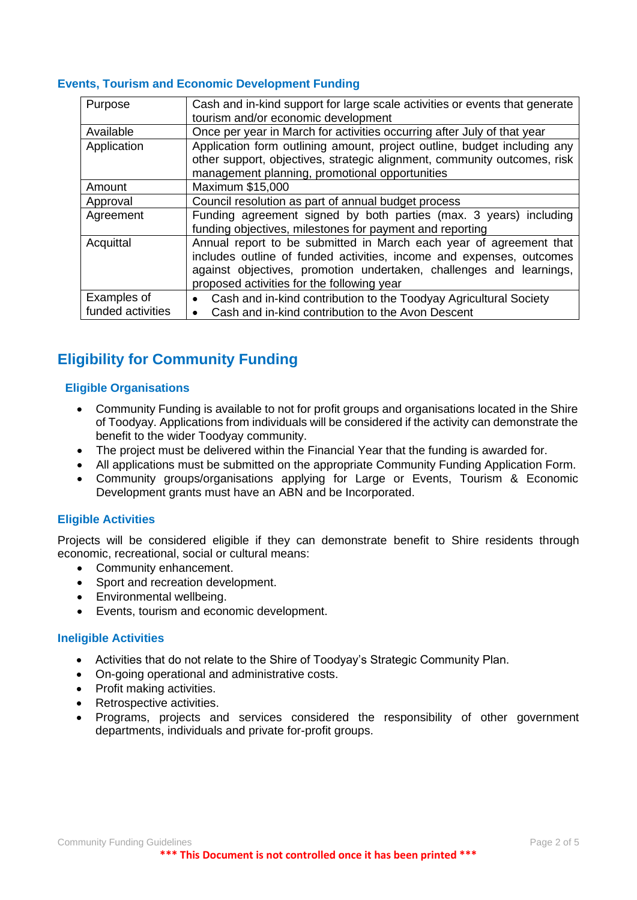#### **Events, Tourism and Economic Development Funding**

| Purpose           | Cash and in-kind support for large scale activities or events that generate<br>tourism and/or economic development |  |  |  |
|-------------------|--------------------------------------------------------------------------------------------------------------------|--|--|--|
| Available         | Once per year in March for activities occurring after July of that year                                            |  |  |  |
| Application       | Application form outlining amount, project outline, budget including any                                           |  |  |  |
|                   | other support, objectives, strategic alignment, community outcomes, risk                                           |  |  |  |
|                   | management planning, promotional opportunities                                                                     |  |  |  |
| Amount            | Maximum \$15,000                                                                                                   |  |  |  |
| Approval          | Council resolution as part of annual budget process                                                                |  |  |  |
| Agreement         | Funding agreement signed by both parties (max. 3 years) including                                                  |  |  |  |
|                   | funding objectives, milestones for payment and reporting                                                           |  |  |  |
| Acquittal         | Annual report to be submitted in March each year of agreement that                                                 |  |  |  |
|                   | includes outline of funded activities, income and expenses, outcomes                                               |  |  |  |
|                   | against objectives, promotion undertaken, challenges and learnings,                                                |  |  |  |
|                   | proposed activities for the following year                                                                         |  |  |  |
| Examples of       | Cash and in-kind contribution to the Toodyay Agricultural Society                                                  |  |  |  |
| funded activities | Cash and in-kind contribution to the Avon Descent                                                                  |  |  |  |

## **Eligibility for Community Funding**

#### **Eligible Organisations**

- Community Funding is available to not for profit groups and organisations located in the Shire of Toodyay. Applications from individuals will be considered if the activity can demonstrate the benefit to the wider Toodyay community.
- The project must be delivered within the Financial Year that the funding is awarded for.
- All applications must be submitted on the appropriate Community Funding Application Form.
- Community groups/organisations applying for Large or Events, Tourism & Economic Development grants must have an ABN and be Incorporated.

#### **Eligible Activities**

Projects will be considered eligible if they can demonstrate benefit to Shire residents through economic, recreational, social or cultural means:

- Community enhancement.
- Sport and recreation development.
- Environmental wellbeing.
- Events, tourism and economic development.

#### **Ineligible Activities**

- Activities that do not relate to the Shire of Toodyay's Strategic Community Plan.
- On-going operational and administrative costs.
- Profit making activities.
- Retrospective activities.
- Programs, projects and services considered the responsibility of other government departments, individuals and private for-profit groups.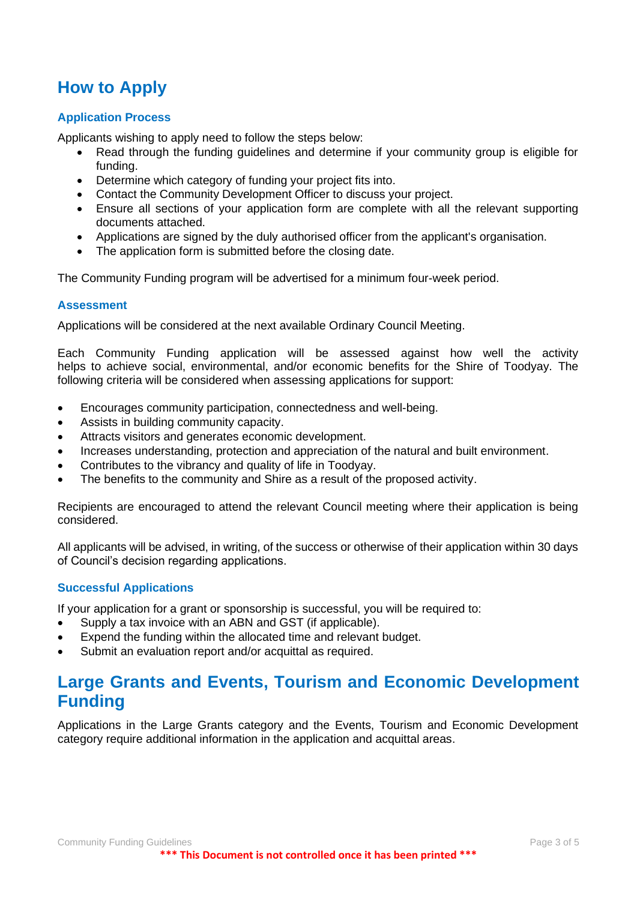## **How to Apply**

#### **Application Process**

Applicants wishing to apply need to follow the steps below:

- Read through the funding guidelines and determine if your community group is eligible for funding.
- Determine which category of funding your project fits into.
- Contact the Community Development Officer to discuss your project.
- Ensure all sections of your application form are complete with all the relevant supporting documents attached.
- Applications are signed by the duly authorised officer from the applicant's organisation.
- The application form is submitted before the closing date.

The Community Funding program will be advertised for a minimum four-week period.

#### **Assessment**

Applications will be considered at the next available Ordinary Council Meeting.

Each Community Funding application will be assessed against how well the activity helps to achieve social, environmental, and/or economic benefits for the Shire of Toodyay. The following criteria will be considered when assessing applications for support:

- Encourages community participation, connectedness and well-being.
- Assists in building community capacity.
- Attracts visitors and generates economic development.
- Increases understanding, protection and appreciation of the natural and built environment.
- Contributes to the vibrancy and quality of life in Toodyay.
- The benefits to the community and Shire as a result of the proposed activity.

Recipients are encouraged to attend the relevant Council meeting where their application is being considered.

All applicants will be advised, in writing, of the success or otherwise of their application within 30 days of Council's decision regarding applications.

#### **Successful Applications**

If your application for a grant or sponsorship is successful, you will be required to:

- Supply a tax invoice with an ABN and GST (if applicable).
- Expend the funding within the allocated time and relevant budget.
- Submit an evaluation report and/or acquittal as required.

## **Large Grants and Events, Tourism and Economic Development Funding**

Applications in the Large Grants category and the Events, Tourism and Economic Development category require additional information in the application and acquittal areas.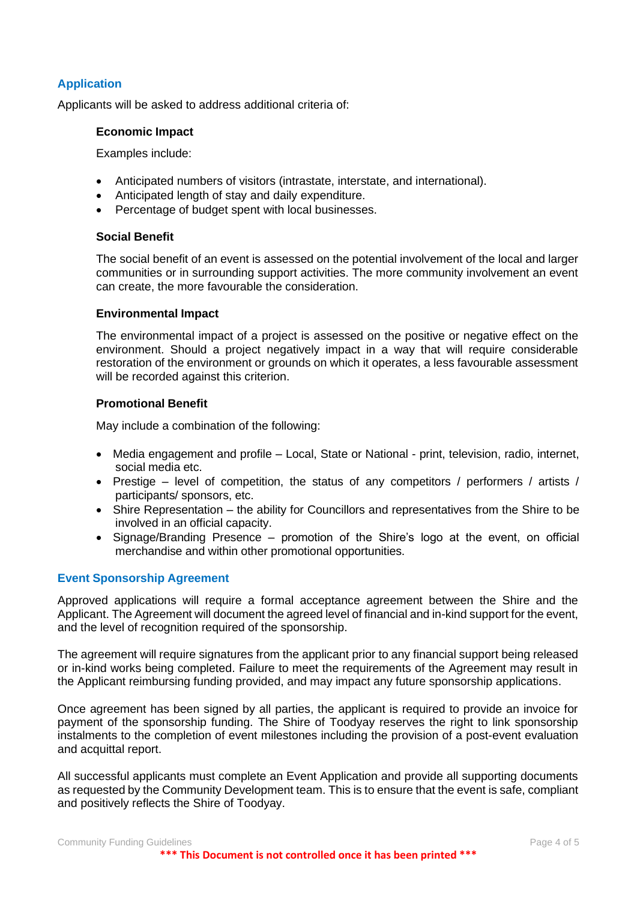#### **Application**

Applicants will be asked to address additional criteria of:

#### **Economic Impact**

Examples include:

- Anticipated numbers of visitors (intrastate, interstate, and international).
- Anticipated length of stay and daily expenditure.
- Percentage of budget spent with local businesses.

#### **Social Benefit**

The social benefit of an event is assessed on the potential involvement of the local and larger communities or in surrounding support activities. The more community involvement an event can create, the more favourable the consideration.

#### **Environmental Impact**

The environmental impact of a project is assessed on the positive or negative effect on the environment. Should a project negatively impact in a way that will require considerable restoration of the environment or grounds on which it operates, a less favourable assessment will be recorded against this criterion.

#### **Promotional Benefit**

May include a combination of the following:

- Media engagement and profile Local, State or National print, television, radio, internet, social media etc.
- Prestige level of competition, the status of any competitors / performers / artists / participants/ sponsors, etc.
- Shire Representation the ability for Councillors and representatives from the Shire to be involved in an official capacity.
- Signage/Branding Presence promotion of the Shire's logo at the event, on official merchandise and within other promotional opportunities.

#### **Event Sponsorship Agreement**

Approved applications will require a formal acceptance agreement between the Shire and the Applicant. The Agreement will document the agreed level of financial and in-kind support for the event, and the level of recognition required of the sponsorship.

The agreement will require signatures from the applicant prior to any financial support being released or in-kind works being completed. Failure to meet the requirements of the Agreement may result in the Applicant reimbursing funding provided, and may impact any future sponsorship applications.

Once agreement has been signed by all parties, the applicant is required to provide an invoice for payment of the sponsorship funding. The Shire of Toodyay reserves the right to link sponsorship instalments to the completion of event milestones including the provision of a post-event evaluation and acquittal report.

All successful applicants must complete an Event Application and provide all supporting documents as requested by the Community Development team. This is to ensure that the event is safe, compliant and positively reflects the Shire of Toodyay.